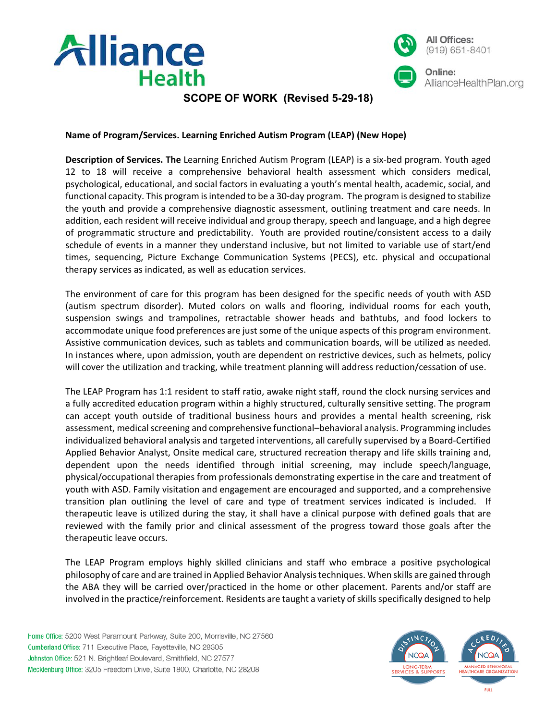



# **SCOPE OF WORK (Revised 5-29-18)**

### **Name of Program/Services. Learning Enriched Autism Program (LEAP) (New Hope)**

**Description of Services. The** Learning Enriched Autism Program (LEAP) is a six-bed program. Youth aged 12 to 18 will receive a comprehensive behavioral health assessment which considers medical, psychological, educational, and social factors in evaluating a youth's mental health, academic, social, and functional capacity. This program is intended to be a 30-day program. The program is designed to stabilize the youth and provide a comprehensive diagnostic assessment, outlining treatment and care needs. In addition, each resident will receive individual and group therapy, speech and language, and a high degree of programmatic structure and predictability. Youth are provided routine/consistent access to a daily schedule of events in a manner they understand inclusive, but not limited to variable use of start/end times, sequencing, Picture Exchange Communication Systems (PECS), etc. physical and occupational therapy services as indicated, as well as education services.

The environment of care for this program has been designed for the specific needs of youth with ASD (autism spectrum disorder). Muted colors on walls and flooring, individual rooms for each youth, suspension swings and trampolines, retractable shower heads and bathtubs, and food lockers to accommodate unique food preferences are just some of the unique aspects of this program environment. Assistive communication devices, such as tablets and communication boards, will be utilized as needed. In instances where, upon admission, youth are dependent on restrictive devices, such as helmets, policy will cover the utilization and tracking, while treatment planning will address reduction/cessation of use.

The LEAP Program has 1:1 resident to staff ratio, awake night staff, round the clock nursing services and a fully accredited education program within a highly structured, culturally sensitive setting. The program can accept youth outside of traditional business hours and provides a mental health screening, risk assessment, medical screening and comprehensive functional–behavioral analysis. Programming includes individualized behavioral analysis and targeted interventions, all carefully supervised by a Board-Certified Applied Behavior Analyst, Onsite medical care, structured recreation therapy and life skills training and, dependent upon the needs identified through initial screening, may include speech/language, physical/occupational therapies from professionals demonstrating expertise in the care and treatment of youth with ASD. Family visitation and engagement are encouraged and supported, and a comprehensive transition plan outlining the level of care and type of treatment services indicated is included. If therapeutic leave is utilized during the stay, it shall have a clinical purpose with defined goals that are reviewed with the family prior and clinical assessment of the progress toward those goals after the therapeutic leave occurs.

The LEAP Program employs highly skilled clinicians and staff who embrace a positive psychological philosophy of care and are trained in Applied Behavior Analysis techniques. When skills are gained through the ABA they will be carried over/practiced in the home or other placement. Parents and/or staff are involved in the practice/reinforcement. Residents are taught a variety of skills specifically designed to help

Home Office: 5200 West Paramount Parkway, Suite 200, Morrisville, NC 27560 Cumberland Office: 711 Executive Place, Fayetteville, NC 28305 Johnston Office: 521 N. Brightleaf Boulevard, Smithfield, NC 27577 Mecklenburg Office: 3205 Freedom Drive, Suite 1800, Charlotte, NC 28208

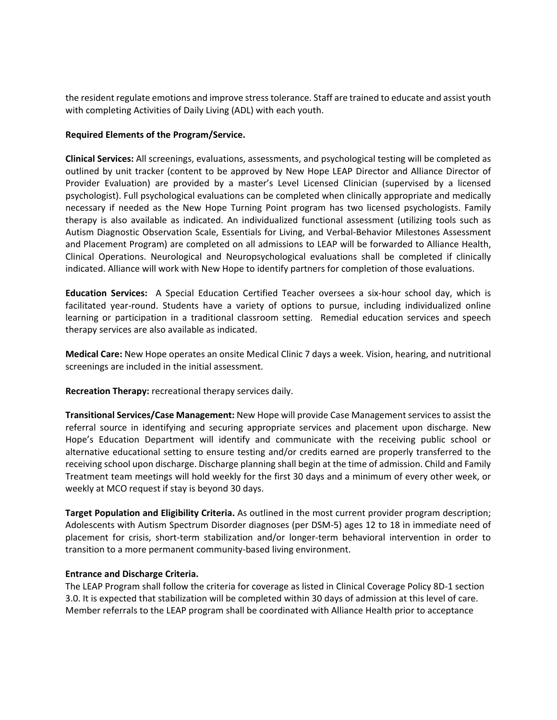the resident regulate emotions and improve stress tolerance. Staff are trained to educate and assist youth with completing Activities of Daily Living (ADL) with each youth.

### **Required Elements of the Program/Service.**

**Clinical Services:** All screenings, evaluations, assessments, and psychological testing will be completed as outlined by unit tracker (content to be approved by New Hope LEAP Director and Alliance Director of Provider Evaluation) are provided by a master's Level Licensed Clinician (supervised by a licensed psychologist). Full psychological evaluations can be completed when clinically appropriate and medically necessary if needed as the New Hope Turning Point program has two licensed psychologists. Family therapy is also available as indicated. An individualized functional assessment (utilizing tools such as Autism Diagnostic Observation Scale, Essentials for Living, and Verbal-Behavior Milestones Assessment and Placement Program) are completed on all admissions to LEAP will be forwarded to Alliance Health, Clinical Operations. Neurological and Neuropsychological evaluations shall be completed if clinically indicated. Alliance will work with New Hope to identify partners for completion of those evaluations.

**Education Services:** A Special Education Certified Teacher oversees a six-hour school day, which is facilitated year-round. Students have a variety of options to pursue, including individualized online learning or participation in a traditional classroom setting. Remedial education services and speech therapy services are also available as indicated.

**Medical Care:** New Hope operates an onsite Medical Clinic 7 days a week. Vision, hearing, and nutritional screenings are included in the initial assessment.

**Recreation Therapy:** recreational therapy services daily.

**Transitional Services/Case Management:** New Hope will provide Case Management services to assist the referral source in identifying and securing appropriate services and placement upon discharge. New Hope's Education Department will identify and communicate with the receiving public school or alternative educational setting to ensure testing and/or credits earned are properly transferred to the receiving school upon discharge. Discharge planning shall begin at the time of admission. Child and Family Treatment team meetings will hold weekly for the first 30 days and a minimum of every other week, or weekly at MCO request if stay is beyond 30 days.

**Target Population and Eligibility Criteria.** As outlined in the most current provider program description; Adolescents with Autism Spectrum Disorder diagnoses (per DSM-5) ages 12 to 18 in immediate need of placement for crisis, short-term stabilization and/or longer-term behavioral intervention in order to transition to a more permanent community-based living environment.

#### **Entrance and Discharge Criteria.**

The LEAP Program shall follow the criteria for coverage as listed in Clinical Coverage Policy 8D-1 section 3.0. It is expected that stabilization will be completed within 30 days of admission at this level of care. Member referrals to the LEAP program shall be coordinated with Alliance Health prior to acceptance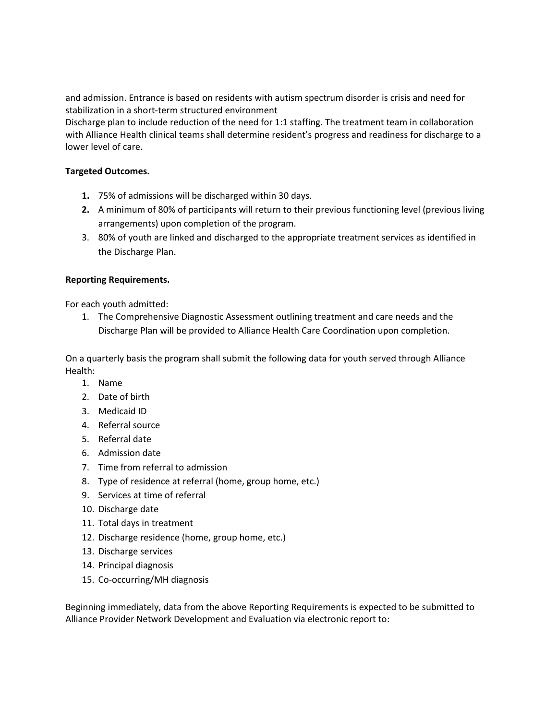and admission. Entrance is based on residents with autism spectrum disorder is crisis and need for stabilization in a short-term structured environment

Discharge plan to include reduction of the need for 1:1 staffing. The treatment team in collaboration with Alliance Health clinical teams shall determine resident's progress and readiness for discharge to a lower level of care.

## **Targeted Outcomes.**

- **1.** 75% of admissions will be discharged within 30 days.
- **2.** A minimum of 80% of participants will return to their previous functioning level (previous living arrangements) upon completion of the program.
- 3. 80% of youth are linked and discharged to the appropriate treatment services as identified in the Discharge Plan.

# **Reporting Requirements.**

For each youth admitted:

1. The Comprehensive Diagnostic Assessment outlining treatment and care needs and the Discharge Plan will be provided to Alliance Health Care Coordination upon completion.

On a quarterly basis the program shall submit the following data for youth served through Alliance Health:

- 1. Name
- 2. Date of birth
- 3. Medicaid ID
- 4. Referral source
- 5. Referral date
- 6. Admission date
- 7. Time from referral to admission
- 8. Type of residence at referral (home, group home, etc.)
- 9. Services at time of referral
- 10. Discharge date
- 11. Total days in treatment
- 12. Discharge residence (home, group home, etc.)
- 13. Discharge services
- 14. Principal diagnosis
- 15. Co-occurring/MH diagnosis

Beginning immediately, data from the above Reporting Requirements is expected to be submitted to Alliance Provider Network Development and Evaluation via electronic report to: